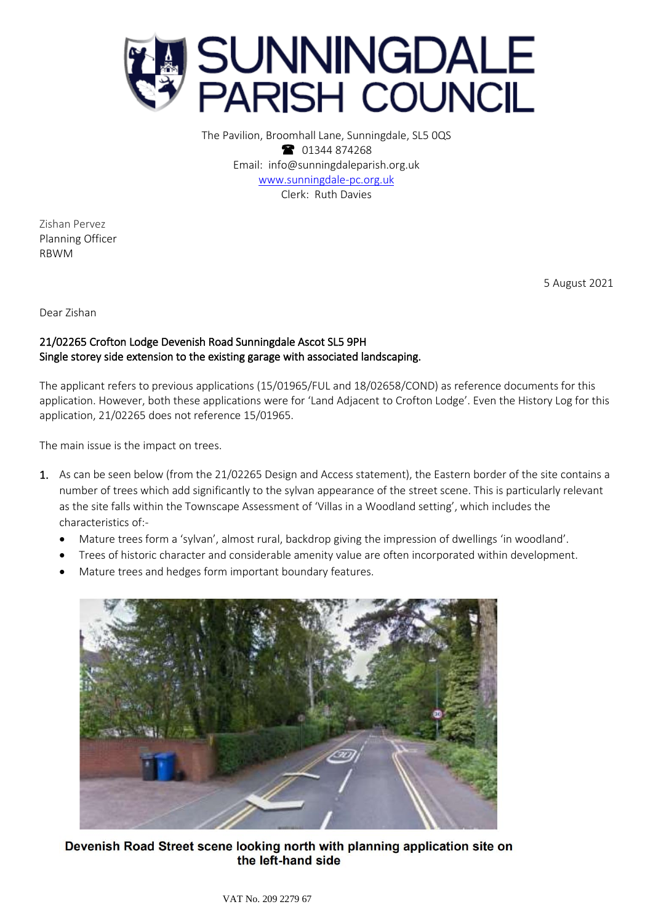

The Pavilion, Broomhall Lane, Sunningdale, SL5 0QS 1344 874268 Email: info@sunningdaleparish.org.uk [www.sunningdale-pc.org.uk](http://www.sunningdale-pc.org.uk/) Clerk: Ruth Davies

Zishan Pervez Planning Officer RBWM

5 August 2021

Dear Zishan

## 21/02265 Crofton Lodge Devenish Road Sunningdale Ascot SL5 9PH Single storey side extension to the existing garage with associated landscaping.

The applicant refers to previous applications (15/01965/FUL and 18/02658/COND) as reference documents for this application. However, both these applications were for 'Land Adjacent to Crofton Lodge'. Even the History Log for this application, 21/02265 does not reference 15/01965.

The main issue is the impact on trees.

- 1. As can be seen below (from the 21/02265 Design and Access statement), the Eastern border of the site contains a number of trees which add significantly to the sylvan appearance of the street scene. This is particularly relevant as the site falls within the Townscape Assessment of 'Villas in a Woodland setting', which includes the characteristics of:-
	- Mature trees form a 'sylvan', almost rural, backdrop giving the impression of dwellings 'in woodland'.
	- Trees of historic character and considerable amenity value are often incorporated within development.
	- Mature trees and hedges form important boundary features.



Devenish Road Street scene looking north with planning application site on the left-hand side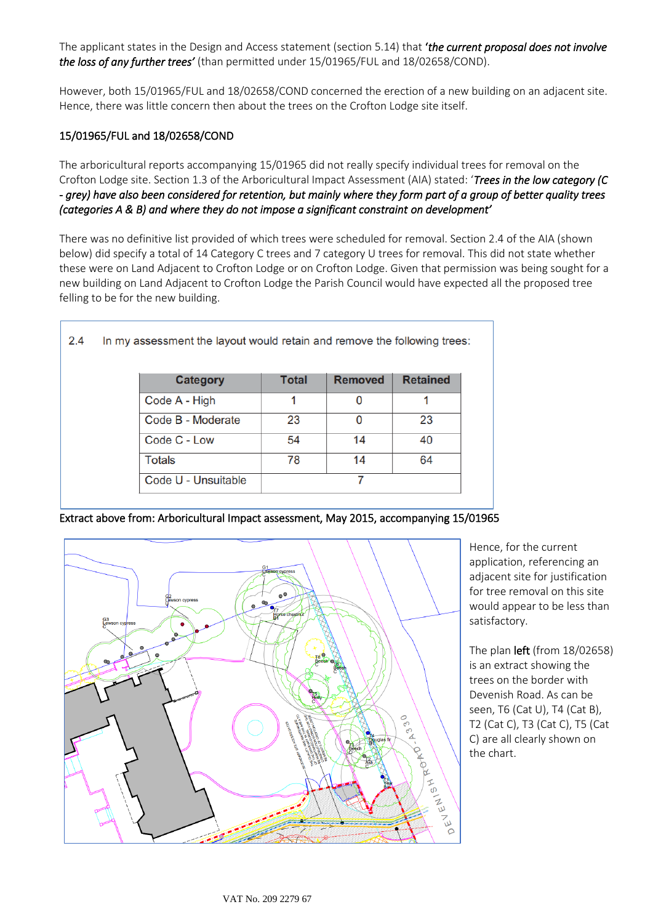The applicant states in the Design and Access statement (section 5.14) that '*the current proposal does not involve the loss of any further trees'* (than permitted under 15/01965/FUL and 18/02658/COND).

However, both 15/01965/FUL and 18/02658/COND concerned the erection of a new building on an adjacent site. Hence, there was little concern then about the trees on the Crofton Lodge site itself.

## 15/01965/FUL and 18/02658/COND

The arboricultural reports accompanying 15/01965 did not really specify individual trees for removal on the Crofton Lodge site. Section 1.3 of the Arboricultural Impact Assessment (AIA) stated: '*Trees in the low category (C - grey) have also been considered for retention, but mainly where they form part of a group of better quality trees (categories A & B) and where they do not impose a significant constraint on development'* 

There was no definitive list provided of which trees were scheduled for removal. Section 2.4 of the AIA (shown below) did specify a total of 14 Category C trees and 7 category U trees for removal. This did not state whether these were on Land Adjacent to Crofton Lodge or on Crofton Lodge. Given that permission was being sought for a new building on Land Adjacent to Crofton Lodge the Parish Council would have expected all the proposed tree felling to be for the new building.

| <b>Category</b>     | <b>Total</b> | <b>Removed</b> | <b>Retained</b> |
|---------------------|--------------|----------------|-----------------|
| Code A - High       | 1            | 0              |                 |
| Code B - Moderate   | 23           |                | 23              |
| Code C - Low        | 54           | 14             | 40              |
| <b>Totals</b>       | 78           | 14             | 64              |
| Code U - Unsuitable |              |                |                 |

Extract above from: Arboricultural Impact assessment, May 2015, accompanying 15/01965



Hence, for the current application, referencing an adjacent site for justification for tree removal on this site would appear to be less than satisfactory.

The plan left (from 18/02658) is an extract showing the trees on the border with Devenish Road. As can be seen, T6 (Cat U), T4 (Cat B), T2 (Cat C), T3 (Cat C), T5 (Cat C) are all clearly shown on the chart.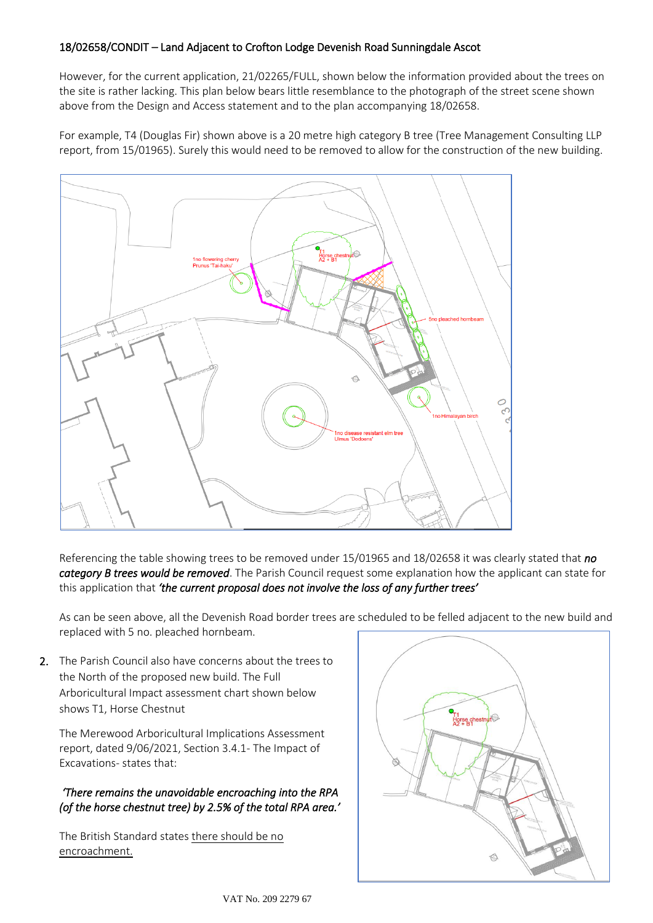## 18/02658/CONDIT – Land Adjacent to Crofton Lodge Devenish Road Sunningdale Ascot

However, for the current application, 21/02265/FULL, shown below the information provided about the trees on the site is rather lacking. This plan below bears little resemblance to the photograph of the street scene shown above from the Design and Access statement and to the plan accompanying 18/02658.

For example, T4 (Douglas Fir) shown above is a 20 metre high category B tree (Tree Management Consulting LLP report, from 15/01965). Surely this would need to be removed to allow for the construction of the new building.



Referencing the table showing trees to be removed under 15/01965 and 18/02658 it was clearly stated that *no category B trees would be removed*. The Parish Council request some explanation how the applicant can state for this application that *'the current proposal does not involve the loss of any further trees'*

As can be seen above, all the Devenish Road border trees are scheduled to be felled adjacent to the new build and replaced with 5 no. pleached hornbeam.

2. The Parish Council also have concerns about the trees to the North of the proposed new build. The Full Arboricultural Impact assessment chart shown below shows T1, Horse Chestnut

The Merewood Arboricultural Implications Assessment report, dated 9/06/2021, Section 3.4.1- The Impact of Excavations- states that:

## *'There remains the unavoidable encroaching into the RPA (of the horse chestnut tree) by 2.5% of the total RPA area.'*

The British Standard states there should be no encroachment.